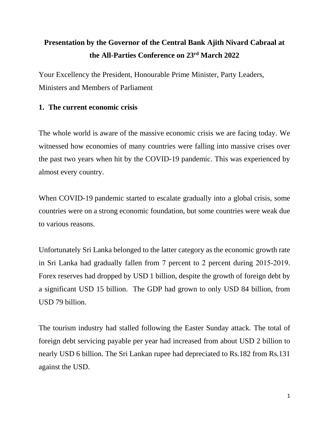# **Presentation by the Governor of the Central Bank Ajith Nivard Cabraal at the All-Parties Conference on 23rd March 2022**

Your Excellency the President, Honourable Prime Minister, Party Leaders, Ministers and Members of Parliament

# **1. The current economic crisis**

The whole world is aware of the massive economic crisis we are facing today. We witnessed how economies of many countries were falling into massive crises over the past two years when hit by the COVID-19 pandemic. This was experienced by almost every country.

When COVID-19 pandemic started to escalate gradually into a global crisis, some countries were on a strong economic foundation, but some countries were weak due to various reasons.

Unfortunately Sri Lanka belonged to the latter category as the economic growth rate in Sri Lanka had gradually fallen from 7 percent to 2 percent during 2015-2019. Forex reserves had dropped by USD 1 billion, despite the growth of foreign debt by a significant USD 15 billion. The GDP had grown to only USD 84 billion, from USD 79 billion.

The tourism industry had stalled following the Easter Sunday attack. The total of foreign debt servicing payable per year had increased from about USD 2 billion to nearly USD 6 billion. The Sri Lankan rupee had depreciated to Rs.182 from Rs.131 against the USD.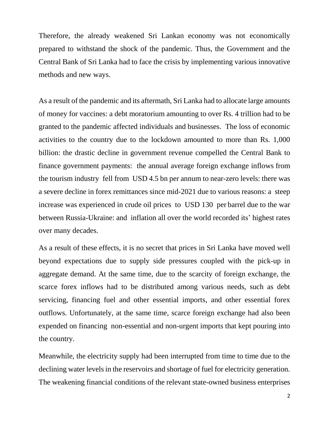Therefore, the already weakened Sri Lankan economy was not economically prepared to withstand the shock of the pandemic. Thus, the Government and the Central Bank of Sri Lanka had to face the crisis by implementing various innovative methods and new ways.

As a result of the pandemic and its aftermath, Sri Lanka had to allocate large amounts of money for vaccines: a debt moratorium amounting to over Rs. 4 trillion had to be granted to the pandemic affected individuals and businesses. The loss of economic activities to the country due to the lockdown amounted to more than Rs. 1,000 billion: the drastic decline in government revenue compelled the Central Bank to finance government payments: the annual average foreign exchange inflows from the tourism industry fell from USD 4.5 bn per annum to near-zero levels: there was a severe decline in forex remittances since mid-2021 due to various reasons: a steep increase was experienced in crude oil prices to USD 130 per barrel due to the war between Russia-Ukraine: and inflation all over the world recorded its' highest rates over many decades.

As a result of these effects, it is no secret that prices in Sri Lanka have moved well beyond expectations due to supply side pressures coupled with the pick-up in aggregate demand. At the same time, due to the scarcity of foreign exchange, the scarce forex inflows had to be distributed among various needs, such as debt servicing, financing fuel and other essential imports, and other essential forex outflows. Unfortunately, at the same time, scarce foreign exchange had also been expended on financing non-essential and non-urgent imports that kept pouring into the country.

Meanwhile, the electricity supply had been interrupted from time to time due to the declining water levels in the reservoirs and shortage of fuel for electricity generation. The weakening financial conditions of the relevant state-owned business enterprises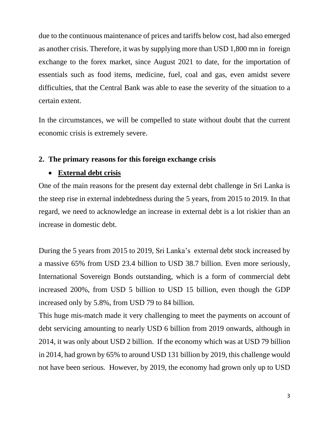due to the continuous maintenance of prices and tariffs below cost, had also emerged as another crisis. Therefore, it was by supplying more than USD 1,800 mn in foreign exchange to the forex market, since August 2021 to date, for the importation of essentials such as food items, medicine, fuel, coal and gas, even amidst severe difficulties, that the Central Bank was able to ease the severity of the situation to a certain extent.

In the circumstances, we will be compelled to state without doubt that the current economic crisis is extremely severe.

## **2. The primary reasons for this foreign exchange crisis**

## **External debt crisis**

One of the main reasons for the present day external debt challenge in Sri Lanka is the steep rise in external indebtedness during the 5 years, from 2015 to 2019. In that regard, we need to acknowledge an increase in external debt is a lot riskier than an increase in domestic debt.

During the 5 years from 2015 to 2019, Sri Lanka's external debt stock increased by a massive 65% from USD 23.4 billion to USD 38.7 billion. Even more seriously, International Sovereign Bonds outstanding, which is a form of commercial debt increased 200%, from USD 5 billion to USD 15 billion, even though the GDP increased only by 5.8%, from USD 79 to 84 billion.

This huge mis-match made it very challenging to meet the payments on account of debt servicing amounting to nearly USD 6 billion from 2019 onwards, although in 2014, it was only about USD 2 billion. If the economy which was at USD 79 billion in 2014, had grown by 65% to around USD 131 billion by 2019, this challenge would not have been serious. However, by 2019, the economy had grown only up to USD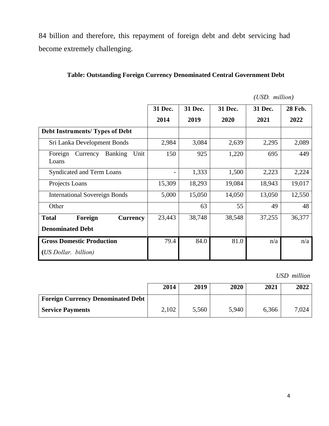84 billion and therefore, this repayment of foreign debt and debt servicing had become extremely challenging.

|                                                        | 31 Dec.                  | 31 Dec. | 31 Dec. | 31 Dec. | <b>28 Feb.</b> |  |
|--------------------------------------------------------|--------------------------|---------|---------|---------|----------------|--|
|                                                        | 2014                     | 2019    | 2020    | 2021    | 2022           |  |
| <b>Debt Instruments/ Types of Debt</b>                 |                          |         |         |         |                |  |
| Sri Lanka Development Bonds                            | 2,984                    | 3,084   | 2,639   | 2,295   | 2,089          |  |
| Foreign<br><b>Banking</b><br>Unit<br>Currency<br>Loans | 150                      | 925     | 1,220   | 695     | 449            |  |
| <b>Syndicated and Term Loans</b>                       | $\overline{\phantom{a}}$ | 1,333   | 1,500   | 2,223   | 2,224          |  |
| Projects Loans                                         | 15,309                   | 18,293  | 19,084  | 18,943  | 19,017         |  |
| <b>International Sovereign Bonds</b>                   | 5,000                    | 15,050  | 14,050  | 13,050  | 12,550         |  |
| Other                                                  |                          | 63      | 55      | 49      | 48             |  |
| Foreign<br><b>Total</b><br><b>Currency</b>             | 23,443                   | 38,748  | 38,548  | 37,255  | 36,377         |  |
| <b>Denominated Debt</b>                                |                          |         |         |         |                |  |
| <b>Gross Domestic Production</b>                       | 79.4                     | 84.0    | 81.0    | n/a     | n/a            |  |
| (US Dollar. billion)                                   |                          |         |         |         |                |  |

# **Table: Outstanding Foreign Currency Denominated Central Government Debt**

*(USD. million)*

*USD million*

|                                          | 2014  | 2019  | 2020  | 2021  | 2022  |
|------------------------------------------|-------|-------|-------|-------|-------|
| <b>Foreign Currency Denominated Debt</b> |       |       |       |       |       |
| <b>Service Payments</b>                  | 2,102 | 5,560 | 5,940 | 6.366 | 7,024 |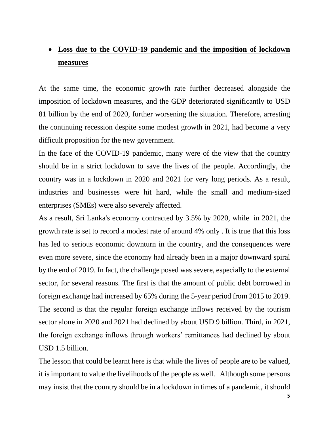# **Loss due to the COVID-19 pandemic and the imposition of lockdown measures**

At the same time, the economic growth rate further decreased alongside the imposition of lockdown measures, and the GDP deteriorated significantly to USD 81 billion by the end of 2020, further worsening the situation. Therefore, arresting the continuing recession despite some modest growth in 2021, had become a very difficult proposition for the new government.

In the face of the COVID-19 pandemic, many were of the view that the country should be in a strict lockdown to save the lives of the people. Accordingly, the country was in a lockdown in 2020 and 2021 for very long periods. As a result, industries and businesses were hit hard, while the small and medium-sized enterprises (SMEs) were also severely affected.

As a result, Sri Lanka's economy contracted by 3.5% by 2020, while in 2021, the growth rate is set to record a modest rate of around 4% only . It is true that this loss has led to serious economic downturn in the country, and the consequences were even more severe, since the economy had already been in a major downward spiral by the end of 2019. In fact, the challenge posed was severe, especially to the external sector, for several reasons. The first is that the amount of public debt borrowed in foreign exchange had increased by 65% during the 5-year period from 2015 to 2019. The second is that the regular foreign exchange inflows received by the tourism sector alone in 2020 and 2021 had declined by about USD 9 billion. Third, in 2021, the foreign exchange inflows through workers' remittances had declined by about USD 1.5 billion.

The lesson that could be learnt here is that while the lives of people are to be valued, it is important to value the livelihoods of the people as well. Although some persons may insist that the country should be in a lockdown in times of a pandemic, it should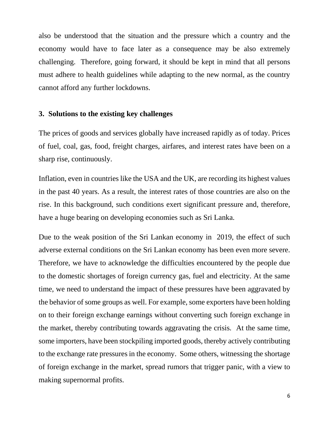also be understood that the situation and the pressure which a country and the economy would have to face later as a consequence may be also extremely challenging. Therefore, going forward, it should be kept in mind that all persons must adhere to health guidelines while adapting to the new normal, as the country cannot afford any further lockdowns.

#### **3. Solutions to the existing key challenges**

The prices of goods and services globally have increased rapidly as of today. Prices of fuel, coal, gas, food, freight charges, airfares, and interest rates have been on a sharp rise, continuously.

Inflation, even in countries like the USA and the UK, are recording its highest values in the past 40 years. As a result, the interest rates of those countries are also on the rise. In this background, such conditions exert significant pressure and, therefore, have a huge bearing on developing economies such as Sri Lanka.

Due to the weak position of the Sri Lankan economy in 2019, the effect of such adverse external conditions on the Sri Lankan economy has been even more severe. Therefore, we have to acknowledge the difficulties encountered by the people due to the domestic shortages of foreign currency gas, fuel and electricity. At the same time, we need to understand the impact of these pressures have been aggravated by the behavior of some groups as well. For example, some exporters have been holding on to their foreign exchange earnings without converting such foreign exchange in the market, thereby contributing towards aggravating the crisis. At the same time, some importers, have been stockpiling imported goods, thereby actively contributing to the exchange rate pressures in the economy. Some others, witnessing the shortage of foreign exchange in the market, spread rumors that trigger panic, with a view to making supernormal profits.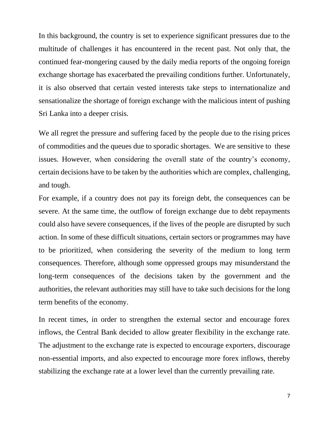In this background, the country is set to experience significant pressures due to the multitude of challenges it has encountered in the recent past. Not only that, the continued fear-mongering caused by the daily media reports of the ongoing foreign exchange shortage has exacerbated the prevailing conditions further. Unfortunately, it is also observed that certain vested interests take steps to internationalize and sensationalize the shortage of foreign exchange with the malicious intent of pushing Sri Lanka into a deeper crisis.

We all regret the pressure and suffering faced by the people due to the rising prices of commodities and the queues due to sporadic shortages. We are sensitive to these issues. However, when considering the overall state of the country's economy, certain decisions have to be taken by the authorities which are complex, challenging, and tough.

For example, if a country does not pay its foreign debt, the consequences can be severe. At the same time, the outflow of foreign exchange due to debt repayments could also have severe consequences, if the lives of the people are disrupted by such action. In some of these difficult situations, certain sectors or programmes may have to be prioritized, when considering the severity of the medium to long term consequences. Therefore, although some oppressed groups may misunderstand the long-term consequences of the decisions taken by the government and the authorities, the relevant authorities may still have to take such decisions for the long term benefits of the economy.

In recent times, in order to strengthen the external sector and encourage forex inflows, the Central Bank decided to allow greater flexibility in the exchange rate. The adjustment to the exchange rate is expected to encourage exporters, discourage non-essential imports, and also expected to encourage more forex inflows, thereby stabilizing the exchange rate at a lower level than the currently prevailing rate.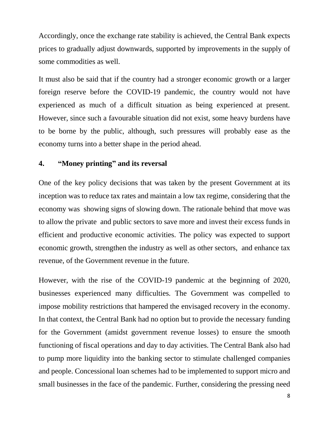Accordingly, once the exchange rate stability is achieved, the Central Bank expects prices to gradually adjust downwards, supported by improvements in the supply of some commodities as well.

It must also be said that if the country had a stronger economic growth or a larger foreign reserve before the COVID-19 pandemic, the country would not have experienced as much of a difficult situation as being experienced at present. However, since such a favourable situation did not exist, some heavy burdens have to be borne by the public, although, such pressures will probably ease as the economy turns into a better shape in the period ahead.

# **4. "Money printing" and its reversal**

One of the key policy decisions that was taken by the present Government at its inception was to reduce tax rates and maintain a low tax regime, considering that the economy was showing signs of slowing down. The rationale behind that move was to allow the private and public sectors to save more and invest their excess funds in efficient and productive economic activities. The policy was expected to support economic growth, strengthen the industry as well as other sectors, and enhance tax revenue, of the Government revenue in the future.

However, with the rise of the COVID-19 pandemic at the beginning of 2020, businesses experienced many difficulties. The Government was compelled to impose mobility restrictions that hampered the envisaged recovery in the economy. In that context, the Central Bank had no option but to provide the necessary funding for the Government (amidst government revenue losses) to ensure the smooth functioning of fiscal operations and day to day activities. The Central Bank also had to pump more liquidity into the banking sector to stimulate challenged companies and people. Concessional loan schemes had to be implemented to support micro and small businesses in the face of the pandemic. Further, considering the pressing need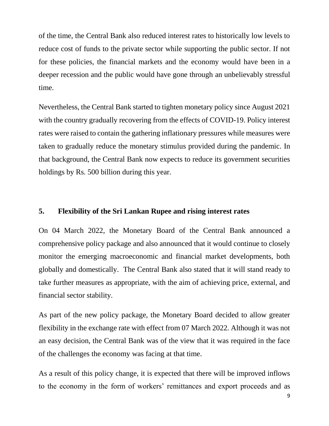of the time, the Central Bank also reduced interest rates to historically low levels to reduce cost of funds to the private sector while supporting the public sector. If not for these policies, the financial markets and the economy would have been in a deeper recession and the public would have gone through an unbelievably stressful time.

Nevertheless, the Central Bank started to tighten monetary policy since August 2021 with the country gradually recovering from the effects of COVID-19. Policy interest rates were raised to contain the gathering inflationary pressures while measures were taken to gradually reduce the monetary stimulus provided during the pandemic. In that background, the Central Bank now expects to reduce its government securities holdings by Rs. 500 billion during this year.

# **5. Flexibility of the Sri Lankan Rupee and rising interest rates**

On 04 March 2022, the Monetary Board of the Central Bank announced a comprehensive policy package and also announced that it would continue to closely monitor the emerging macroeconomic and financial market developments, both globally and domestically. The Central Bank also stated that it will stand ready to take further measures as appropriate, with the aim of achieving price, external, and financial sector stability.

As part of the new policy package, the Monetary Board decided to allow greater flexibility in the exchange rate with effect from 07 March 2022. Although it was not an easy decision, the Central Bank was of the view that it was required in the face of the challenges the economy was facing at that time.

As a result of this policy change, it is expected that there will be improved inflows to the economy in the form of workers' remittances and export proceeds and as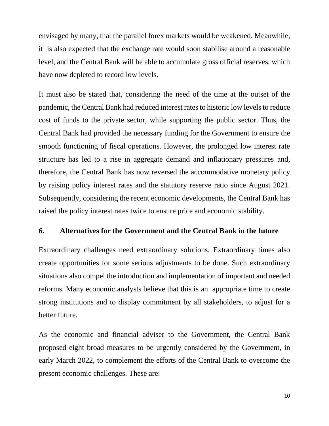envisaged by many, that the parallel forex markets would be weakened. Meanwhile, it is also expected that the exchange rate would soon stabilise around a reasonable level, and the Central Bank will be able to accumulate gross official reserves, which have now depleted to record low levels.

It must also be stated that, considering the need of the time at the outset of the pandemic, the Central Bank had reduced interest rates to historic low levels to reduce cost of funds to the private sector, while supporting the public sector. Thus, the Central Bank had provided the necessary funding for the Government to ensure the smooth functioning of fiscal operations. However, the prolonged low interest rate structure has led to a rise in aggregate demand and inflationary pressures and, therefore, the Central Bank has now reversed the accommodative monetary policy by raising policy interest rates and the statutory reserve ratio since August 2021. Subsequently, considering the recent economic developments, the Central Bank has raised the policy interest rates twice to ensure price and economic stability.

## **6. Alternatives for the Government and the Central Bank in the future**

Extraordinary challenges need extraordinary solutions. Extraordinary times also create opportunities for some serious adjustments to be done. Such extraordinary situations also compel the introduction and implementation of important and needed reforms. Many economic analysts believe that this is an appropriate time to create strong institutions and to display commitment by all stakeholders, to adjust for a better future.

As the economic and financial adviser to the Government, the Central Bank proposed eight broad measures to be urgently considered by the Government, in early March 2022, to complement the efforts of the Central Bank to overcome the present economic challenges. These are: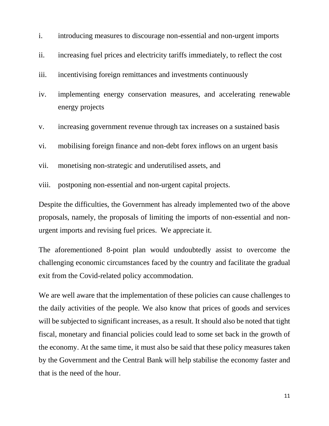- i. introducing measures to discourage non-essential and non-urgent imports
- ii. increasing fuel prices and electricity tariffs immediately, to reflect the cost
- iii. incentivising foreign remittances and investments continuously
- iv. implementing energy conservation measures, and accelerating renewable energy projects
- v. increasing government revenue through tax increases on a sustained basis
- vi. mobilising foreign finance and non-debt forex inflows on an urgent basis
- vii. monetising non-strategic and underutilised assets, and
- viii. postponing non-essential and non-urgent capital projects.

Despite the difficulties, the Government has already implemented two of the above proposals, namely, the proposals of limiting the imports of non-essential and nonurgent imports and revising fuel prices. We appreciate it.

The aforementioned 8-point plan would undoubtedly assist to overcome the challenging economic circumstances faced by the country and facilitate the gradual exit from the Covid-related policy accommodation.

We are well aware that the implementation of these policies can cause challenges to the daily activities of the people. We also know that prices of goods and services will be subjected to significant increases, as a result. It should also be noted that tight fiscal, monetary and financial policies could lead to some set back in the growth of the economy. At the same time, it must also be said that these policy measures taken by the Government and the Central Bank will help stabilise the economy faster and that is the need of the hour.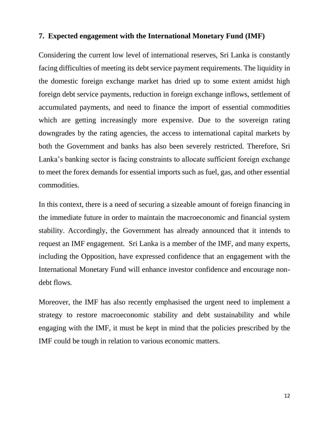## **7. Expected engagement with the International Monetary Fund (IMF)**

Considering the current low level of international reserves, Sri Lanka is constantly facing difficulties of meeting its debt service payment requirements. The liquidity in the domestic foreign exchange market has dried up to some extent amidst high foreign debt service payments, reduction in foreign exchange inflows, settlement of accumulated payments, and need to finance the import of essential commodities which are getting increasingly more expensive. Due to the sovereign rating downgrades by the rating agencies, the access to international capital markets by both the Government and banks has also been severely restricted. Therefore, Sri Lanka's banking sector is facing constraints to allocate sufficient foreign exchange to meet the forex demands for essential imports such as fuel, gas, and other essential commodities.

In this context, there is a need of securing a sizeable amount of foreign financing in the immediate future in order to maintain the macroeconomic and financial system stability. Accordingly, the Government has already announced that it intends to request an IMF engagement. Sri Lanka is a member of the IMF, and many experts, including the Opposition, have expressed confidence that an engagement with the International Monetary Fund will enhance investor confidence and encourage nondebt flows.

Moreover, the IMF has also recently emphasised the urgent need to implement a strategy to restore macroeconomic stability and debt sustainability and while engaging with the IMF, it must be kept in mind that the policies prescribed by the IMF could be tough in relation to various economic matters.